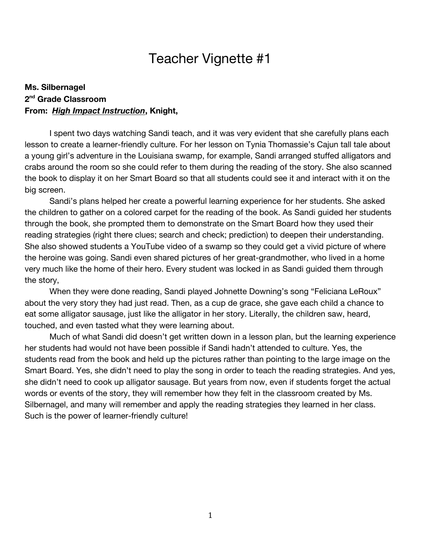## Teacher Vignette #1

### **Ms. Silbernagel 2nd Grade Classroom From:** *High Impact Instruction***, Knight,**

I spent two days watching Sandi teach, and it was very evident that she carefully plans each lesson to create a learner-friendly culture. For her lesson on Tynia Thomassie's Cajun tall tale about a young girl's adventure in the Louisiana swamp, for example, Sandi arranged stuffed alligators and crabs around the room so she could refer to them during the reading of the story. She also scanned the book to display it on her Smart Board so that all students could see it and interact with it on the big screen.

Sandi's plans helped her create a powerful learning experience for her students. She asked the children to gather on a colored carpet for the reading of the book. As Sandi guided her students through the book, she prompted them to demonstrate on the Smart Board how they used their reading strategies (right there clues; search and check; prediction) to deepen their understanding. She also showed students a YouTube video of a swamp so they could get a vivid picture of where the heroine was going. Sandi even shared pictures of her great-grandmother, who lived in a home very much like the home of their hero. Every student was locked in as Sandi guided them through the story,

When they were done reading, Sandi played Johnette Downing's song "Feliciana LeRoux" about the very story they had just read. Then, as a cup de grace, she gave each child a chance to eat some alligator sausage, just like the alligator in her story. Literally, the children saw, heard, touched, and even tasted what they were learning about.

Much of what Sandi did doesn't get written down in a lesson plan, but the learning experience her students had would not have been possible if Sandi hadn't attended to culture. Yes, the students read from the book and held up the pictures rather than pointing to the large image on the Smart Board. Yes, she didn't need to play the song in order to teach the reading strategies. And yes, she didn't need to cook up alligator sausage. But years from now, even if students forget the actual words or events of the story, they will remember how they felt in the classroom created by Ms. Silbernagel, and many will remember and apply the reading strategies they learned in her class. Such is the power of learner-friendly culture!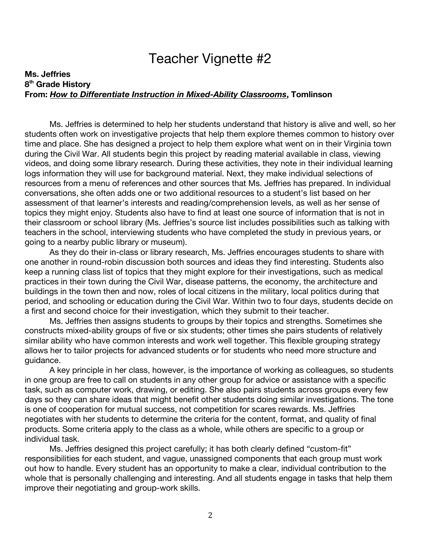# Teacher Vignette #2

#### **Ms. Jeffries 8th Grade History From:** *How to Differentiate Instruction in Mixed-Ability Classrooms***, Tomlinson**

Ms. Jeffries is determined to help her students understand that history is alive and well, so her students often work on investigative projects that help them explore themes common to history over time and place. She has designed a project to help them explore what went on in their Virginia town during the Civil War. All students begin this project by reading material available in class, viewing videos, and doing some library research. During these activities, they note in their individual learning logs information they will use for background material. Next, they make individual selections of resources from a menu of references and other sources that Ms. Jeffries has prepared. In individual conversations, she often adds one or two additional resources to a student's list based on her assessment of that learner's interests and reading/comprehension levels, as well as her sense of topics they might enjoy. Students also have to find at least one source of information that is not in their classroom or school library (Ms. Jeffries's source list includes possibilities such as talking with teachers in the school, interviewing students who have completed the study in previous years, or going to a nearby public library or museum).

As they do their in-class or library research, Ms. Jeffries encourages students to share with one another in round-robin discussion both sources and ideas they find interesting. Students also keep a running class list of topics that they might explore for their investigations, such as medical practices in their town during the Civil War, disease patterns, the economy, the architecture and buildings in the town then and now, roles of local citizens in the military, local politics during that period, and schooling or education during the Civil War. Within two to four days, students decide on a first and second choice for their investigation, which they submit to their teacher.

Ms. Jeffries then assigns students to groups by their topics and strengths. Sometimes she constructs mixed-ability groups of five or six students; other times she pairs students of relatively similar ability who have common interests and work well together. This flexible grouping strategy allows her to tailor projects for advanced students or for students who need more structure and guidance.

A key principle in her class, however, is the importance of working as colleagues, so students in one group are free to call on students in any other group for advice or assistance with a specific task, such as computer work, drawing, or editing. She also pairs students across groups every few days so they can share ideas that might benefit other students doing similar investigations. The tone is one of cooperation for mutual success, not competition for scares rewards. Ms. Jeffries negotiates with her students to determine the criteria for the content, format, and quality of final products. Some criteria apply to the class as a whole, while others are specific to a group or individual task.

Ms. Jeffries designed this project carefully; it has both clearly defined "custom-fit" responsibilities for each student, and vague, unassigned components that each group must work out how to handle. Every student has an opportunity to make a clear, individual contribution to the whole that is personally challenging and interesting. And all students engage in tasks that help them improve their negotiating and group-work skills.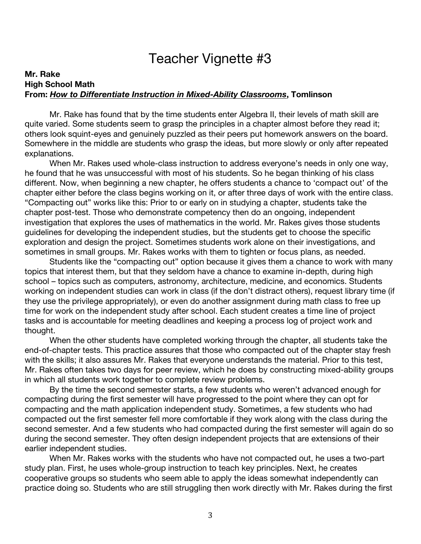# Teacher Vignette #3

#### **Mr. Rake High School Math From:** *How to Differentiate Instruction in Mixed-Ability Classrooms***, Tomlinson**

Mr. Rake has found that by the time students enter Algebra II, their levels of math skill are quite varied. Some students seem to grasp the principles in a chapter almost before they read it; others look squint-eyes and genuinely puzzled as their peers put homework answers on the board. Somewhere in the middle are students who grasp the ideas, but more slowly or only after repeated explanations.

When Mr. Rakes used whole-class instruction to address everyone's needs in only one way, he found that he was unsuccessful with most of his students. So he began thinking of his class different. Now, when beginning a new chapter, he offers students a chance to 'compact out' of the chapter either before the class begins working on it, or after three days of work with the entire class. "Compacting out" works like this: Prior to or early on in studying a chapter, students take the chapter post-test. Those who demonstrate competency then do an ongoing, independent investigation that explores the uses of mathematics in the world. Mr. Rakes gives those students guidelines for developing the independent studies, but the students get to choose the specific exploration and design the project. Sometimes students work alone on their investigations, and sometimes in small groups. Mr. Rakes works with them to tighten or focus plans, as needed.

Students like the "compacting out" option because it gives them a chance to work with many topics that interest them, but that they seldom have a chance to examine in-depth, during high school – topics such as computers, astronomy, architecture, medicine, and economics. Students working on independent studies can work in class (if the don't distract others), request library time (if they use the privilege appropriately), or even do another assignment during math class to free up time for work on the independent study after school. Each student creates a time line of project tasks and is accountable for meeting deadlines and keeping a process log of project work and thought.

When the other students have completed working through the chapter, all students take the end-of-chapter tests. This practice assures that those who compacted out of the chapter stay fresh with the skills; it also assures Mr. Rakes that everyone understands the material. Prior to this test, Mr. Rakes often takes two days for peer review, which he does by constructing mixed-ability groups in which all students work together to complete review problems.

By the time the second semester starts, a few students who weren't advanced enough for compacting during the first semester will have progressed to the point where they can opt for compacting and the math application independent study. Sometimes, a few students who had compacted out the first semester fell more comfortable if they work along with the class during the second semester. And a few students who had compacted during the first semester will again do so during the second semester. They often design independent projects that are extensions of their earlier independent studies.

When Mr. Rakes works with the students who have not compacted out, he uses a two-part study plan. First, he uses whole-group instruction to teach key principles. Next, he creates cooperative groups so students who seem able to apply the ideas somewhat independently can practice doing so. Students who are still struggling then work directly with Mr. Rakes during the first